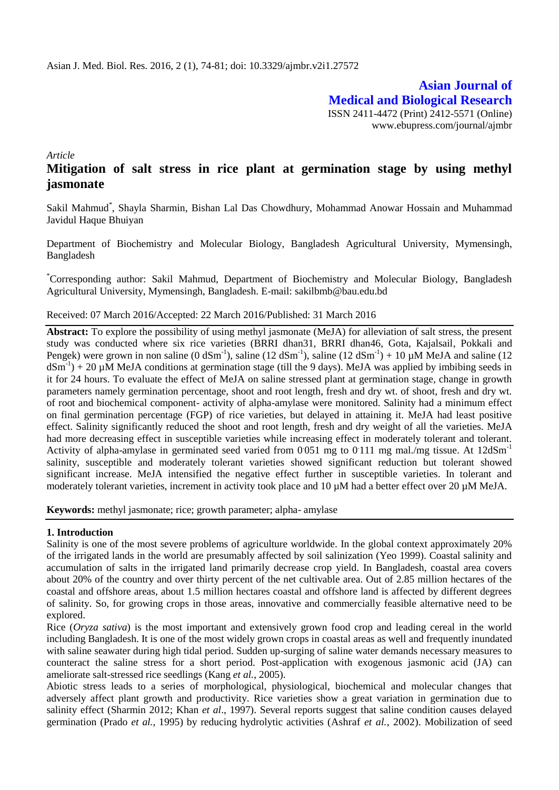**Asian Journal of Medical and Biological Research** ISSN 2411-4472 (Print) 2412-5571 (Online) www.ebupress.com/journal/ajmbr

*Article*

# **Mitigation of salt stress in rice plant at germination stage by using methyl jasmonate**

Sakil Mahmud<sup>\*</sup>, Shayla Sharmin, Bishan Lal Das Chowdhury, Mohammad Anowar Hossain and Muhammad Javidul Haque Bhuiyan

Department of Biochemistry and Molecular Biology, Bangladesh Agricultural University, Mymensingh, Bangladesh

\*Corresponding author: Sakil Mahmud, Department of Biochemistry and Molecular Biology, Bangladesh Agricultural University, Mymensingh, Bangladesh. E-mail: sakilbmb@bau.edu.bd

#### Received: 07 March 2016/Accepted: 22 March 2016/Published: 31 March 2016

**Abstract:** To explore the possibility of using methyl jasmonate (MeJA) for alleviation of salt stress, the present study was conducted where six rice varieties (BRRI dhan31, BRRI dhan46, Gota, Kajalsail, Pokkali and Pengek) were grown in non saline (0 dSm<sup>-1</sup>), saline (12 dSm<sup>-1</sup>), saline (12 dSm<sup>-1</sup>) + 10  $\mu$ M MeJA and saline (12  $dSm^{-1}$ ) + 20 µM MeJA conditions at germination stage (till the 9 days). MeJA was applied by imbibing seeds in it for 24 hours. To evaluate the effect of MeJA on saline stressed plant at germination stage, change in growth parameters namely germination percentage, shoot and root length, fresh and dry wt. of shoot, fresh and dry wt. of root and biochemical component- activity of alpha-amylase were monitored. Salinity had a minimum effect on final germination percentage (FGP) of rice varieties, but delayed in attaining it. MeJA had least positive effect. Salinity significantly reduced the shoot and root length, fresh and dry weight of all the varieties. MeJA had more decreasing effect in susceptible varieties while increasing effect in moderately tolerant and tolerant. Activity of alpha-amylase in germinated seed varied from 0.051 mg to 0.111 mg mal./mg tissue. At 12dSm<sup>-1</sup> salinity, susceptible and moderately tolerant varieties showed significant reduction but tolerant showed significant increase. MeJA intensified the negative effect further in susceptible varieties. In tolerant and moderately tolerant varieties, increment in activity took place and 10  $\mu$ M had a better effect over 20  $\mu$ M MeJA.

**Keywords:** methyl jasmonate; rice; growth parameter; alpha- amylase

### **1. Introduction**

Salinity is one of the most severe problems of agriculture worldwide. In the global context approximately 20% of the irrigated lands in the world are presumably affected by soil salinization (Yeo 1999). Coastal salinity and accumulation of salts in the irrigated land primarily decrease crop yield. In Bangladesh, coastal area covers about 20% of the country and over thirty percent of the net cultivable area. Out of 2.85 million hectares of the coastal and offshore areas, about 1.5 million hectares coastal and offshore land is affected by different degrees of salinity. So, for growing crops in those areas, innovative and commercially feasible alternative need to be explored.

Rice (*Oryza sativa*) is the most important and extensively grown food crop and leading cereal in the world including Bangladesh. It is one of the most widely grown crops in coastal areas as well and frequently inundated with saline seawater during high tidal period. Sudden up-surging of saline water demands necessary measures to counteract the saline stress for a short period. Post-application with exogenous jasmonic acid (JA) can ameliorate salt-stressed rice seedlings (Kang *et al.*, 2005).

Abiotic stress leads to a series of morphological, physiological, biochemical and molecular changes that adversely affect plant growth and productivity. Rice varieties show a great variation in germination due to salinity effect (Sharmin 2012; Khan *et al*., 1997). Several reports suggest that saline condition causes delayed germination (Prado *et al.*, 1995) by reducing hydrolytic activities (Ashraf *et al.*, 2002). Mobilization of seed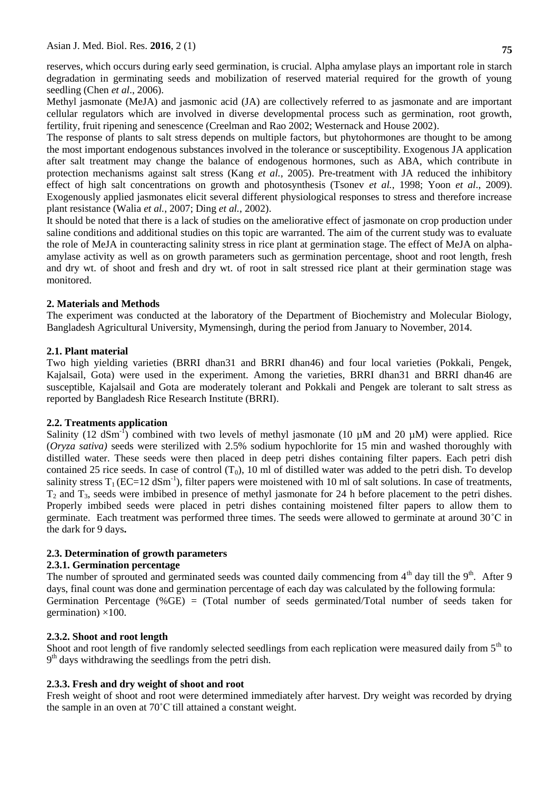reserves, which occurs during early seed germination, is crucial. Alpha amylase plays an important role in starch degradation in germinating seeds and mobilization of reserved material required for the growth of young seedling (Chen *et al*., 2006).

Methyl jasmonate (MeJA) and jasmonic acid (JA) are collectively referred to as jasmonate and are important cellular regulators which are involved in diverse developmental process such as germination, root growth, fertility, fruit ripening and senescence (Creelman and Rao 2002; Westernack and House 2002).

The response of plants to salt stress depends on multiple factors, but phytohormones are thought to be among the most important endogenous substances involved in the tolerance or susceptibility. Exogenous JA application after salt treatment may change the balance of endogenous hormones, such as ABA, which contribute in protection mechanisms against salt stress (Kang *et al.*, 2005). Pre-treatment with JA reduced the inhibitory effect of high salt concentrations on growth and photosynthesis (Tsonev *et al.*, 1998; Yoon *et al*., 2009). Exogenously applied jasmonates elicit several different physiological responses to stress and therefore increase plant resistance (Walia *et al.*, 2007; Ding *et al.*, 2002).

It should be noted that there is a lack of studies on the ameliorative effect of jasmonate on crop production under saline conditions and additional studies on this topic are warranted. The aim of the current study was to evaluate the role of MeJA in counteracting salinity stress in rice plant at germination stage. The effect of MeJA on alphaamylase activity as well as on growth parameters such as germination percentage, shoot and root length, fresh and dry wt. of shoot and fresh and dry wt. of root in salt stressed rice plant at their germination stage was monitored.

## **2. Materials and Methods**

The experiment was conducted at the laboratory of the Department of Biochemistry and Molecular Biology, Bangladesh Agricultural University, Mymensingh, during the period from January to November, 2014.

## **2.1. Plant material**

Two high yielding varieties (BRRI dhan31 and BRRI dhan46) and four local varieties (Pokkali, Pengek, Kajalsail, Gota) were used in the experiment. Among the varieties, BRRI dhan31 and BRRI dhan46 are susceptible, Kajalsail and Gota are moderately tolerant and Pokkali and Pengek are tolerant to salt stress as reported by Bangladesh Rice Research Institute (BRRI).

### **2.2. Treatments application**

Salinity (12 dSm<sup>-1</sup>) combined with two levels of methyl jasmonate (10  $\mu$ M and 20  $\mu$ M) were applied. Rice (*Oryza sativa)* seeds were sterilized with 2.5% sodium hypochlorite for 15 min and washed thoroughly with distilled water. These seeds were then placed in deep petri dishes containing filter papers. Each petri dish contained 25 rice seeds. In case of control  $(T_0)$ , 10 ml of distilled water was added to the petri dish. To develop salinity stress  $T_1 (EC=12 \text{ dSm}^{-1})$ , filter papers were moistened with 10 ml of salt solutions. In case of treatments,  $T_2$  and  $T_3$ , seeds were imbibed in presence of methyl jasmonate for 24 h before placement to the petri dishes. Properly imbibed seeds were placed in petri dishes containing moistened filter papers to allow them to germinate. Each treatment was performed three times. The seeds were allowed to germinate at around 30˚C in the dark for 9 days**.**

## **2.3. Determination of growth parameters**

## **2.3.1. Germination percentage**

The number of sprouted and germinated seeds was counted daily commencing from  $4<sup>th</sup>$  day till the  $9<sup>th</sup>$ . After 9 days, final count was done and germination percentage of each day was calculated by the following formula: Germination Percentage (%GE) = (Total number of seeds germinated/Total number of seeds taken for germination)  $\times$ 100.

### **2.3.2. Shoot and root length**

Shoot and root length of five randomly selected seedlings from each replication were measured daily from 5<sup>th</sup> to  $9<sup>th</sup>$  days withdrawing the seedlings from the petri dish.

## **2.3.3. Fresh and dry weight of shoot and root**

Fresh weight of shoot and root were determined immediately after harvest. Dry weight was recorded by drying the sample in an oven at 70˚C till attained a constant weight.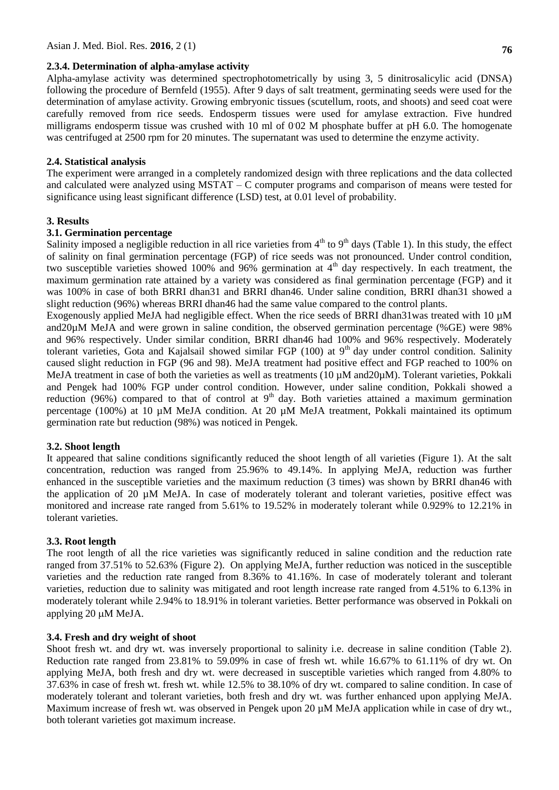#### **2.3.4. Determination of alpha-amylase activity**

Alpha-amylase activity was determined spectrophotometrically by using 3, 5 dinitrosalicylic acid (DNSA) following the procedure of Bernfeld (1955). After 9 days of salt treatment, germinating seeds were used for the determination of amylase activity. Growing embryonic tissues (scutellum, roots, and shoots) and seed coat were carefully removed from rice seeds. Endosperm tissues were used for amylase extraction. Five hundred milligrams endosperm tissue was crushed with 10 ml of 002 M phosphate buffer at pH 6.0. The homogenate was centrifuged at 2500 rpm for 20 minutes. The supernatant was used to determine the enzyme activity.

#### **2.4. Statistical analysis**

The experiment were arranged in a completely randomized design with three replications and the data collected and calculated were analyzed using MSTAT – C computer programs and comparison of means were tested for significance using least significant difference (LSD) test, at 0.01 level of probability.

#### **3. Results**

### **3.1. Germination percentage**

Salinity imposed a negligible reduction in all rice varieties from  $4<sup>th</sup>$  to  $9<sup>th</sup>$  days (Table 1). In this study, the effect of salinity on final germination percentage (FGP) of rice seeds was not pronounced. Under control condition, two susceptible varieties showed 100% and 96% germination at  $4<sup>th</sup>$  day respectively. In each treatment, the maximum germination rate attained by a variety was considered as final germination percentage (FGP) and it was 100% in case of both BRRI dhan31 and BRRI dhan46. Under saline condition, BRRI dhan31 showed a slight reduction (96%) whereas BRRI dhan46 had the same value compared to the control plants.

Exogenously applied MeJA had negligible effect. When the rice seeds of BRRI dhan31was treated with 10  $\mu$ M and20µM MeJA and were grown in saline condition, the observed germination percentage (%GE) were 98% and 96% respectively. Under similar condition, BRRI dhan46 had 100% and 96% respectively. Moderately tolerant varieties, Gota and Kajalsail showed similar FGP (100) at  $9<sup>th</sup>$  day under control condition. Salinity caused slight reduction in FGP (96 and 98). MeJA treatment had positive effect and FGP reached to 100% on MeJA treatment in case of both the varieties as well as treatments (10  $\mu$ M and 20 $\mu$ M). Tolerant varieties, Pokkali and Pengek had 100% FGP under control condition. However, under saline condition, Pokkali showed a reduction (96%) compared to that of control at  $9<sup>th</sup>$  day. Both varieties attained a maximum germination percentage (100%) at 10 µM MeJA condition. At 20 µM MeJA treatment, Pokkali maintained its optimum germination rate but reduction (98%) was noticed in Pengek.

#### **3.2. Shoot length**

It appeared that saline conditions significantly reduced the shoot length of all varieties (Figure 1). At the salt concentration, reduction was ranged from 25.96% to 49.14%. In applying MeJA, reduction was further enhanced in the susceptible varieties and the maximum reduction (3 times) was shown by BRRI dhan46 with the application of 20 µM MeJA. In case of moderately tolerant and tolerant varieties, positive effect was monitored and increase rate ranged from 5.61% to 19.52% in moderately tolerant while 0.929% to 12.21% in tolerant varieties.

#### **3.3. Root length**

The root length of all the rice varieties was significantly reduced in saline condition and the reduction rate ranged from 37.51% to 52.63% (Figure 2). On applying MeJA, further reduction was noticed in the susceptible varieties and the reduction rate ranged from 8.36% to 41.16%. In case of moderately tolerant and tolerant varieties, reduction due to salinity was mitigated and root length increase rate ranged from 4.51% to 6.13% in moderately tolerant while 2.94% to 18.91% in tolerant varieties. Better performance was observed in Pokkali on applying 20  $\mu$ M MeJA.

#### **3.4. Fresh and dry weight of shoot**

Shoot fresh wt. and dry wt. was inversely proportional to salinity i.e. decrease in saline condition (Table 2). Reduction rate ranged from 23.81% to 59.09% in case of fresh wt. while 16.67% to 61.11% of dry wt. On applying MeJA, both fresh and dry wt. were decreased in susceptible varieties which ranged from 4.80% to 37.63% in case of fresh wt. fresh wt. while 12.5% to 38.10% of dry wt. compared to saline condition. In case of moderately tolerant and tolerant varieties, both fresh and dry wt. was further enhanced upon applying MeJA. Maximum increase of fresh wt. was observed in Pengek upon 20  $\mu$ M MeJA application while in case of dry wt., both tolerant varieties got maximum increase.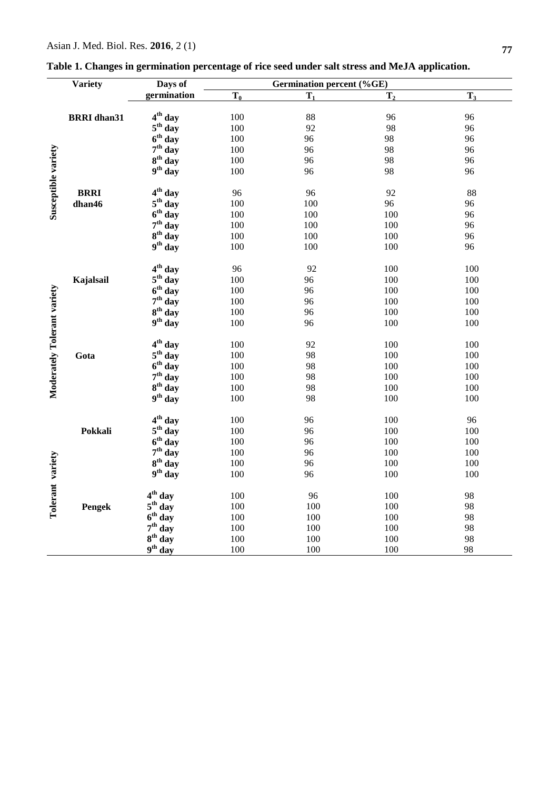|                             | <b>Variety</b>     | Days of                | <b>Germination percent (%GE)</b> |                |                |       |  |  |  |
|-----------------------------|--------------------|------------------------|----------------------------------|----------------|----------------|-------|--|--|--|
|                             |                    | germination            | $T_0$                            | $\mathbf{T}_1$ | T <sub>2</sub> | $T_3$ |  |  |  |
|                             |                    |                        |                                  |                |                |       |  |  |  |
|                             | <b>BRRI</b> dhan31 | 4 <sup>th</sup> day    | 100                              | 88             | 96             | 96    |  |  |  |
|                             |                    | $5th$ day              | 100                              | 92             | 98             | 96    |  |  |  |
|                             |                    | $6th$ day              | 100                              | 96             | 98             | 96    |  |  |  |
|                             |                    | $7th$ day              | 100                              | 96             | 98             | 96    |  |  |  |
|                             |                    | $8th$ day              | 100                              | 96             | 98             | 96    |  |  |  |
|                             |                    | $9th$ day              | 100                              | 96             | 98             | 96    |  |  |  |
| Susceptible variety         |                    |                        |                                  |                |                |       |  |  |  |
|                             | <b>BRRI</b>        | 4 <sup>th</sup> day    | 96                               | 96             | 92             | 88    |  |  |  |
|                             | dhan46             | $5th$ day              | 100                              | 100            | 96             | 96    |  |  |  |
|                             |                    | $6th$ day              | 100                              | 100            | 100            | 96    |  |  |  |
|                             |                    | $7th$ day              | 100                              | 100            | 100            | 96    |  |  |  |
|                             |                    | $8th$ day              | 100                              | 100            | 100            | 96    |  |  |  |
|                             |                    | $9th$ day              | 100                              | 100            | 100            | 96    |  |  |  |
|                             |                    | 4 <sup>th</sup> day    | 96                               | 92             | 100            | 100   |  |  |  |
|                             | Kajalsail          | $5th$ day              | 100                              | 96             | 100            | 100   |  |  |  |
|                             |                    | $6th$ day              | 100                              | 96             | 100            | 100   |  |  |  |
|                             |                    | $7th$ day              | 100                              | 96             | 100            | 100   |  |  |  |
|                             |                    | 8 <sup>th</sup> day    | 100                              | 96             | 100            | 100   |  |  |  |
| Moderately Tolerant variety |                    | 9 <sup>th</sup> day    | 100                              | 96             | 100            | 100   |  |  |  |
|                             |                    |                        |                                  |                |                |       |  |  |  |
|                             |                    | 4 <sup>th</sup> day    | 100                              | 92             | 100            | 100   |  |  |  |
|                             | Gota               | $5th$ day              | 100                              | 98             | 100            | 100   |  |  |  |
|                             |                    | $6th$ day              | 100                              | 98             | 100            | 100   |  |  |  |
|                             |                    | $7th$ day              | 100                              | 98             | 100            | 100   |  |  |  |
|                             |                    | $8th$ day              | 100                              | 98             | 100            | 100   |  |  |  |
|                             |                    | $9th$ day              | 100                              | 98             | 100            | 100   |  |  |  |
|                             |                    | 4 <sup>th</sup> day    | 100                              | 96             | 100            | 96    |  |  |  |
|                             | Pokkali            | $5th$ day              | 100                              | 96             | 100            | 100   |  |  |  |
|                             |                    | $6th$ day              | 100                              | 96             | 100            | 100   |  |  |  |
|                             |                    | $7th$ day              | 100                              | 96             | 100            | 100   |  |  |  |
|                             |                    | $8th$ day              | 100                              | 96             | 100            | 100   |  |  |  |
|                             |                    | $9th$ day              | 100                              | 96             | 100            | 100   |  |  |  |
| Tolerant variety            |                    |                        |                                  |                |                |       |  |  |  |
|                             |                    | 4 <sup>th</sup><br>day | 100                              | 96             | 100            | 98    |  |  |  |
|                             | Pengek             | $5th$ day              | 100                              | 100            | 100            | 98    |  |  |  |
|                             |                    | $6th$ day              | 100                              | 100            | 100            | 98    |  |  |  |
|                             |                    | $7th$ day              | 100                              | 100            | 100            | 98    |  |  |  |
|                             |                    | $8^{th}$ day           | 100                              | 100            | 100            | 98    |  |  |  |
|                             |                    | $9^{th}$ day           | 100                              | 100            | 100            | 98    |  |  |  |

**Table 1. Changes in germination percentage of rice seed under salt stress and MeJA application.**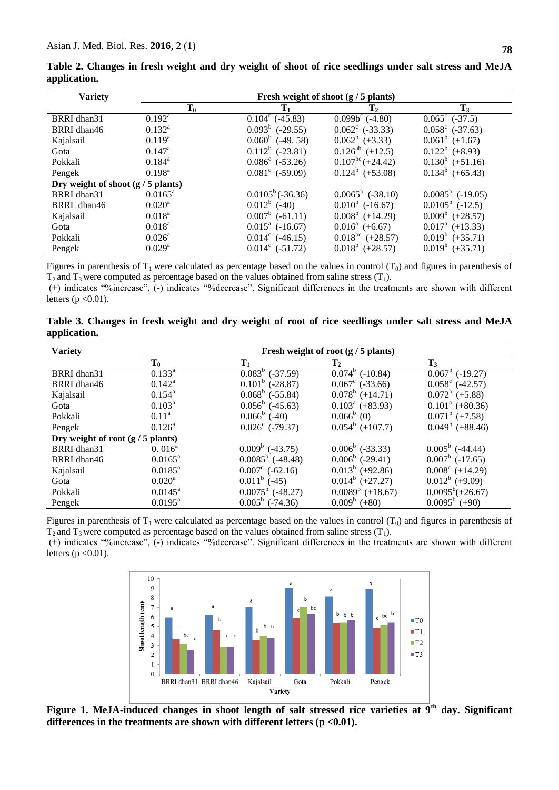|              |  |  |  |  | Table 2. Changes in fresh weight and dry weight of shoot of rice seedlings under salt stress and MeJA |  |  |  |
|--------------|--|--|--|--|-------------------------------------------------------------------------------------------------------|--|--|--|
| application. |  |  |  |  |                                                                                                       |  |  |  |

| <b>Variety</b>                       | Fresh weight of shoot $(g / 5$ plants) |                          |                          |                          |  |  |  |  |
|--------------------------------------|----------------------------------------|--------------------------|--------------------------|--------------------------|--|--|--|--|
|                                      | $T_0$                                  | $\mathbf{T}_1$           | $\mathbf{T}_2$           | $\mathbf{T}_3$           |  |  |  |  |
| BRRI dhan31                          | $0.192^{\text{a}}$                     | $0.104^b$ (-45.83)       | $0.099b^c$ (-4.80)       | $0.065^{\circ}$ (-37.5)  |  |  |  |  |
| BRRI dhan46                          | $0.132^{a}$                            | $0.093^b$ (-29.55)       | $0.062^{\circ}$ (-33.33) | $0.058^{\circ}$ (-37.63) |  |  |  |  |
| Kajalsail                            | $0.119^{a}$                            | $0.060^b$ (-49.58)       | $0.062^b$ (+3.33)        | $0.061^b$ (+1.67)        |  |  |  |  |
| Gota                                 | $0.147^{\rm a}$                        | $0.112^b$ (-23.81)       | $0.126^{ab}$ (+12.5)     | $0.122^b$ (+8.93)        |  |  |  |  |
| Pokkali                              | $0.184^{a}$                            | $0.086^{\circ}$ (-53.26) | $0.107^{bc} (+24.42)$    | $0.130^b$ (+51.16)       |  |  |  |  |
| Pengek                               | $0.198^{\rm a}$                        | $0.081^{\circ}$ (-59.09) | $0.124^b$ (+53.08)       | $0.134^b$ (+65.43)       |  |  |  |  |
| Dry weight of shoot $(g / 5$ plants) |                                        |                          |                          |                          |  |  |  |  |
| BRRI dhan31                          | $0.0165^{\text{a}}$                    | $0.0105^b(-36.36)$       | $0.0065^b$ (-38.10)      | $0.0085^b$ (-19.05)      |  |  |  |  |
| BRRI dhan46                          | $0.020^a$                              | $0.012^b$ (-40)          | $0.010^b$ (-16.67)       | $0.0105^b$ (-12.5)       |  |  |  |  |
| Kajalsail                            | $0.018^{\rm a}$                        | $0.007^b$ (-61.11)       | $0.008^b$ (+14.29)       | $0.009^b$ (+28.57)       |  |  |  |  |
| Gota                                 | $0.018^{\rm a}$                        | $0.015^a$ (-16.67)       | $0.016^a$ (+6.67)        | $0.017^a$ (+13.33)       |  |  |  |  |
| Pokkali                              | $0.026^{\rm a}$                        | $0.014^c$ (-46.15)       | $0.018^{bc}$ (+28.57)    | $0.019^b$ (+35.71)       |  |  |  |  |
| Pengek                               | $0.029$ <sup>a</sup>                   | $0.014^c$ (-51.72)       | $0.018^b$ (+28.57)       | $0.019^b$ (+35.71)       |  |  |  |  |

Figures in parenthesis of  $T_1$  were calculated as percentage based on the values in control  $(T_0)$  and figures in parenthesis of  $T_2$  and  $T_3$  were computed as percentage based on the values obtained from saline stress  $(T_1)$ .

(+) indicates "%increase", (-) indicates "%decrease". Significant differences in the treatments are shown with different letters  $(p < 0.01)$ .

**Table 3. Changes in fresh weight and dry weight of root of rice seedlings under salt stress and MeJA application.**

| <b>Variety</b>                      | Fresh weight of root $(g / 5$ plants) |                          |                          |                          |  |  |  |  |
|-------------------------------------|---------------------------------------|--------------------------|--------------------------|--------------------------|--|--|--|--|
|                                     | $T_0$                                 | $T_1$                    | $\mathbf{T}_2$           | $T_3$                    |  |  |  |  |
| BRRI dhan31                         | $0.133^a$                             | $0.083^b$ (-37.59)       | $0.074^b$ (-10.84)       | $0.067^b$ (-19.27)       |  |  |  |  |
| BRRI dhan46                         | $0.142^a$                             | $0.101^b$ (-28.87)       | $0.067^{\circ}$ (-33.66) | $0.058^{\circ}$ (-42.57) |  |  |  |  |
| Kajalsail                           | $0.154^{a}$                           | $0.068^b$ (-55.84)       | $0.078^b$ (+14.71)       | $0.072^b$ (+5.88)        |  |  |  |  |
| Gota                                | $0.103^a$                             | $0.056^b$ (-45.63)       | $0.103^a$ (+83.93)       | $0.101^a$ (+80.36)       |  |  |  |  |
| Pokkali                             | $0.11^{\rm a}$                        | $0.066^b$ (-40)          | $0.066^b$ (0)            | $0.071^b$ (+7.58)        |  |  |  |  |
| Pengek                              | $0.126^{\rm a}$                       | $0.026^{\circ}$ (-79.37) | $0.054^b$ (+107.7)       | $0.049^b$ (+88.46)       |  |  |  |  |
| Dry weight of root $(g / 5$ plants) |                                       |                          |                          |                          |  |  |  |  |
| BRRI dhan31                         | $0.016^a$                             | $0.009^b$ (-43.75)       | $0.006^b$ (-33.33)       | $0.005^b$ (-44.44)       |  |  |  |  |
| BRRI dhan46                         | $0.0165^{\text{a}}$                   | $0.0085^b$ (-48.48)      | $0.006^b$ (-29.41)       | $0.007^b$ (-17.65)       |  |  |  |  |
| Kajalsail                           | $0.0185^{\text{a}}$                   | $0.007^{\circ}$ (-62.16) | $0.013^b$ (+92.86)       | $0.008^{\circ}$ (+14.29) |  |  |  |  |
| Gota                                | $0.020^{\rm a}$                       | $0.011^b$ (-45)          | $0.014^b$ (+27.27)       | $0.012^b$ (+9.09)        |  |  |  |  |
| Pokkali                             | $0.0145^{\text{a}}$                   | $0.0075^b$ (-48.27)      | $0.0089^b$ (+18.67)      | $0.0095^b (+26.67)$      |  |  |  |  |
| Pengek                              | $0.0195^{\text{a}}$                   | $0.005^b$ (-74.36)       | $0.009^b$ (+80)          | $0.0095^b$ (+90)         |  |  |  |  |

Figures in parenthesis of  $T_1$  were calculated as percentage based on the values in control  $(T_0)$  and figures in parenthesis of  $T_2$  and  $T_3$  were computed as percentage based on the values obtained from saline stress (T<sub>1</sub>).

(+) indicates "%increase", (-) indicates "%decrease". Significant differences in the treatments are shown with different letters ( $p < 0.01$ ).



**Figure 1. MeJA-induced changes in shoot length of salt stressed rice varieties at 9th day. Significant differences in the treatments are shown with different letters (p <0.01).**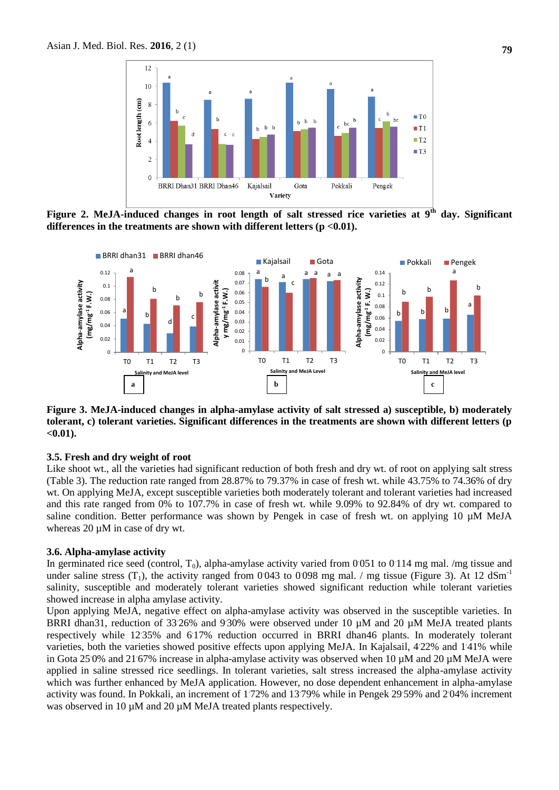

**Figure 2. MeJA-induced changes in root length of salt stressed rice varieties at 9th day. Significant differences in the treatments are shown with different letters (p <0.01).**



**Figure 3. MeJA-induced changes in alpha-amylase activity of salt stressed a) susceptible, b) moderately tolerant, c) tolerant varieties. Significant differences in the treatments are shown with different letters (p <0.01).**

## **3.5. Fresh and dry weight of root**

Like shoot wt., all the varieties had significant reduction of both fresh and dry wt. of root on applying salt stress (Table 3). The reduction rate ranged from 28.87% to 79.37% in case of fresh wt. while 43.75% to 74.36% of dry wt. On applying MeJA, except susceptible varieties both moderately tolerant and tolerant varieties had increased and this rate ranged from 0% to 107.7% in case of fresh wt. while 9.09% to 92.84% of dry wt. compared to saline condition. Better performance was shown by Pengek in case of fresh wt. on applying 10  $\mu$ M MeJA whereas 20  $\mu$ M in case of dry wt.

#### **3.6. Alpha-amylase activity**

In germinated rice seed (control,  $T_0$ ), alpha-amylase activity varied from 0.051 to 0.114 mg mal. /mg tissue and under saline stress  $(T_1)$ , the activity ranged from 0.043 to 0.098 mg mal. / mg tissue (Figure 3). At 12 dSm<sup>-1</sup> salinity, susceptible and moderately tolerant varieties showed significant reduction while tolerant varieties showed increase in alpha amylase activity.

Upon applying MeJA, negative effect on alpha-amylase activity was observed in the susceptible varieties. In BRRI dhan31, reduction of 33 26% and 9 30% were observed under 10 µM and 20 µM MeJA treated plants respectively while 12 35% and 617% reduction occurred in BRRI dhan46 plants. In moderately tolerant varieties, both the varieties showed positive effects upon applying MeJA. In Kajalsail, 422% and 141% while in Gota 25 0% and 21 67% increase in alpha-amylase activity was observed when 10  $\mu$ M and 20  $\mu$ M MeJA were applied in saline stressed rice seedlings. In tolerant varieties, salt stress increased the alpha-amylase activity which was further enhanced by MeJA application. However, no dose dependent enhancement in alpha-amylase activity was found. In Pokkali, an increment of 172% and 1379% while in Pengek 2959% and 204% increment was observed in 10  $\mu$ M and 20  $\mu$ M MeJA treated plants respectively.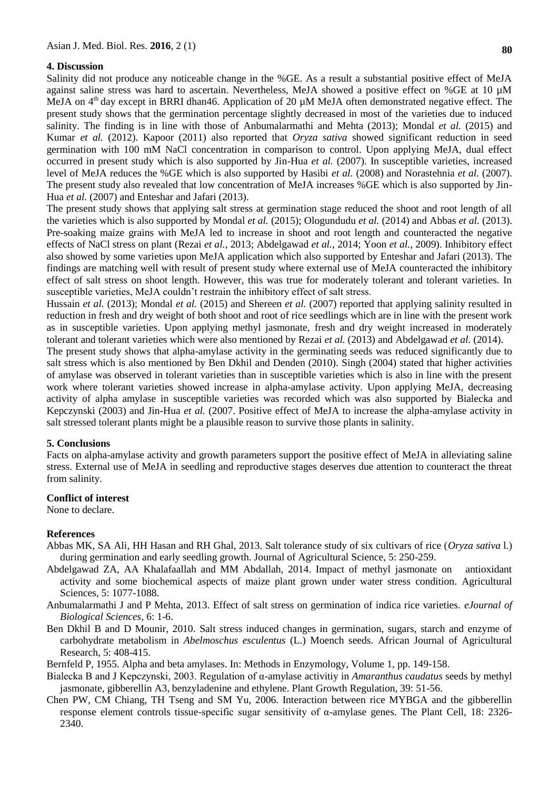#### **4. Discussion**

Salinity did not produce any noticeable change in the %GE. As a result a substantial positive effect of MeJA against saline stress was hard to ascertain. Nevertheless, MeJA showed a positive effect on %GE at 10 µM MeJA on  $4<sup>th</sup>$  day except in BRRI dhan46. Application of 20  $\mu$ M MeJA often demonstrated negative effect. The present study shows that the germination percentage slightly decreased in most of the varieties due to induced salinity. The finding is in line with those of Anbumalarmathi and Mehta (2013); Mondal *et al.* (2015) and Kumar *et al.* (2012). Kapoor (2011) also reported that *Oryza sativa* showed significant reduction in seed germination with 100 mM NaCl concentration in comparison to control. Upon applying MeJA, dual effect occurred in present study which is also supported by Jin-Hua *et al.* (2007). In susceptible varieties, increased level of MeJA reduces the %GE which is also supported by Hasibi *et al.* (2008) and Norastehnia *et al.* (2007). The present study also revealed that low concentration of MeJA increases %GE which is also supported by Jin-Hua *et al.* (2007) and Enteshar and Jafari (2013).

The present study shows that applying salt stress at germination stage reduced the shoot and root length of all the varieties which is also supported by Mondal *et al.* (2015); Ologundudu *et al.* (2014) and Abbas *et al.* (2013). Pre-soaking maize grains with MeJA led to increase in shoot and root length and counteracted the negative effects of NaCl stress on plant (Rezai *et al.*, 2013; Abdelgawad *et al.*, 2014; Yoon *et al.*, 2009). Inhibitory effect also showed by some varieties upon MeJA application which also supported by Enteshar and Jafari (2013). The findings are matching well with result of present study where external use of MeJA counteracted the inhibitory effect of salt stress on shoot length. However, this was true for moderately tolerant and tolerant varieties. In susceptible varieties, MeJA couldn't restrain the inhibitory effect of salt stress.

Hussain *et al.* (2013); Mondal *et al.* (2015) and Shereen *et al.* (2007) reported that applying salinity resulted in reduction in fresh and dry weight of both shoot and root of rice seedlings which are in line with the present work as in susceptible varieties. Upon applying methyl jasmonate, fresh and dry weight increased in moderately tolerant and tolerant varieties which were also mentioned by Rezai *et al.* (2013) and Abdelgawad *et al.* (2014).

The present study shows that alpha-amylase activity in the germinating seeds was reduced significantly due to salt stress which is also mentioned by Ben Dkhil and Denden (2010). Singh (2004) stated that higher activities of amylase was observed in tolerant varieties than in susceptible varieties which is also in line with the present work where tolerant varieties showed increase in alpha-amylase activity. Upon applying MeJA, decreasing activity of alpha amylase in susceptible varieties was recorded which was also supported by [Bialecka and](http://pubag.nal.usda.gov/pubag/search.xhtml?start=0&searchText=author%3A%22Bialecka%2C+B.%22) [Kepczynski](http://pubag.nal.usda.gov/pubag/search.xhtml?start=0&searchText=author%3A%22Kepczynski%2C+J.%22) (2003) and Jin-Hua *et al.* (2007. Positive effect of MeJA to increase the alpha-amylase activity in salt stressed tolerant plants might be a plausible reason to survive those plants in salinity.

#### **5. Conclusions**

Facts on alpha-amylase activity and growth parameters support the positive effect of MeJA in alleviating saline stress. External use of MeJA in seedling and reproductive stages deserves due attention to counteract the threat from salinity.

### **Conflict of interest**

None to declare.

#### **References**

- Abbas MK, SA Ali, HH Hasan and RH Ghal, 2013. Salt tolerance study of six cultivars of rice (*Oryza sativa* l.) during germination and early seedling growth. Journal of Agricultural Science, 5: 250-259.
- Abdelgawad ZA, AA Khalafaallah and MM Abdallah, 2014. Impact of methyl jasmonate on antioxidant activity and some biochemical aspects of maize plant grown under water stress condition. Agricultural Sciences, 5: 1077-1088.
- Anbumalarmathi J and P Mehta, 2013. Effect of salt stress on germination of indica rice varieties. *eJournal of Biological Sciences,* 6: 1-6.
- Ben Dkhil B and D Mounir, 2010. Salt stress induced changes in germination, sugars, starch and enzyme of carbohydrate metabolism in *Abelmoschus esculentus* (L.) Moench seeds. African Journal of Agricultural Research, 5: 408-415.

Bernfeld P, 1955. Alpha and beta amylases. In: Methods in Enzymology, Volume 1, pp. 149-158.

- Bialecka B and J Kepczynski, 2003. Regulation of α-amylase activitiy in *Amaranthus caudatus* seeds by methyl jasmonate, gibberellin A3, benzyladenine and ethylene. Plant Growth Regulation, 39: 51-56.
- Chen PW, CM Chiang, TH Tseng and SM Yu, 2006. Interaction between rice MYBGA and the gibberellin response element controls tissue-specific sugar sensitivity of α-amylase genes. The Plant Cell, 18: 2326- 2340.